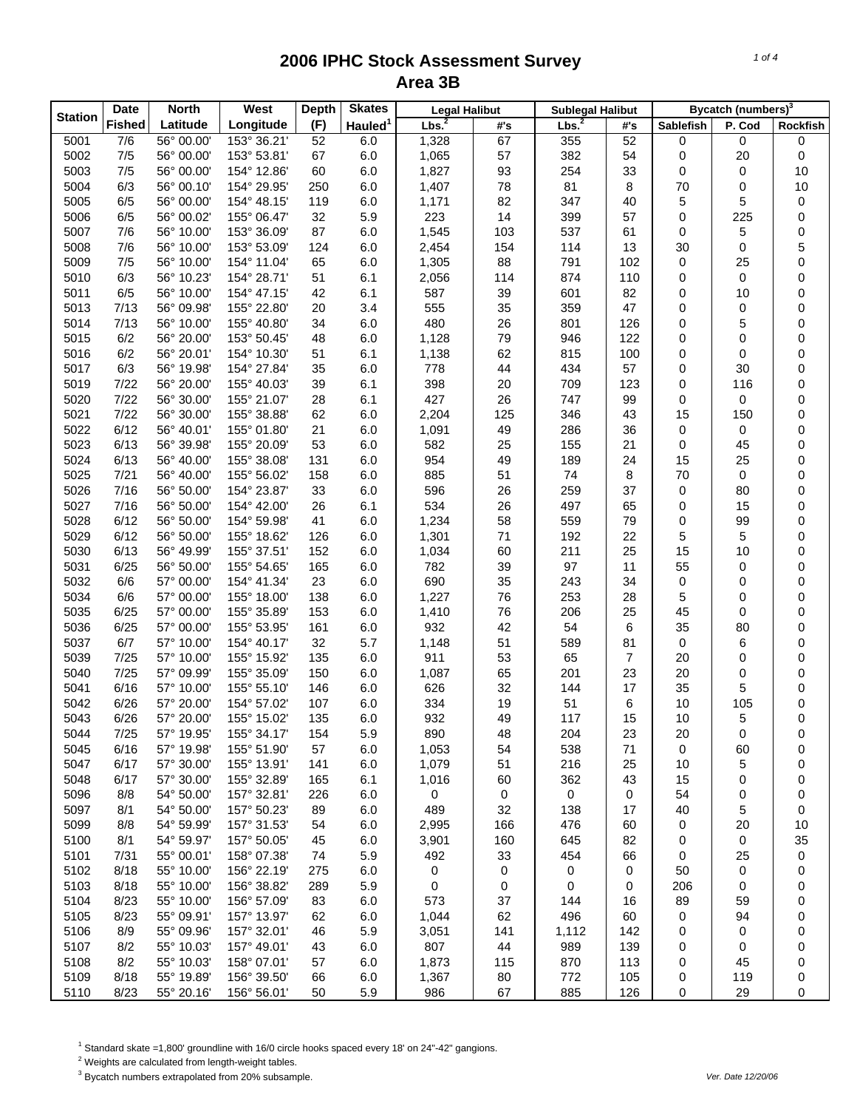| Latitude<br>(F)<br>Longitude<br>#'s<br><b>Sablefish</b><br>P. Cod<br>Rockfish<br>#'s<br>7/6<br>153° 36.21'<br>67<br>355<br>52<br>56° 00.00'<br>52<br>6.0<br>1,328<br>0<br>5001<br>0<br>0<br>1,065<br>5002<br>7/5<br>56° 00.00'<br>153° 53.81'<br>67<br>6.0<br>57<br>382<br>20<br>0<br>54<br>0<br>5003<br>7/5<br>56° 00.00'<br>154° 12.86'<br>1,827<br>93<br>254<br>33<br>10<br>60<br>6.0<br>0<br>0<br>6/3<br>56° 00.10'<br>1,407<br>78<br>81<br>8<br>70<br>0<br>10<br>5004<br>154° 29.95'<br>250<br>6.0<br>5<br>6/5<br>56° 00.00'<br>119<br>6.0<br>82<br>347<br>5<br>0<br>5005<br>154° 48.15'<br>1,171<br>40<br>399<br>6/5<br>56° 00.02'<br>32<br>5.9<br>223<br>14<br>0<br>225<br>0<br>5006<br>155° 06.47'<br>57<br>537<br>7/6<br>56° 10.00'<br>153° 36.09'<br>87<br>1,545<br>103<br>61<br>5<br>0<br>5007<br>6.0<br>0<br>5<br>7/6<br>2,454<br>114<br>0<br>5008<br>56° 10.00'<br>153° 53.09'<br>124<br>6.0<br>154<br>13<br>30<br>7/5<br>65<br>88<br>791<br>102<br>$\mathbf 0$<br>0<br>5009<br>56° 10.00'<br>154° 11.04'<br>6.0<br>1,305<br>25<br>6/3<br>56° 10.23'<br>51<br>114<br>874<br>110<br>0<br>5010<br>154° 28.71'<br>6.1<br>2,056<br>0<br>0<br>601<br>6/5<br>56° 10.00'<br>154° 47.15'<br>42<br>6.1<br>587<br>39<br>82<br>0<br>0<br>5011<br>10<br>7/13<br>56° 09.98'<br>155° 22.80'<br>20<br>3.4<br>555<br>35<br>359<br>47<br>0<br>0<br>0<br>5013<br>801<br>7/13<br>56° 10.00'<br>34<br>480<br>26<br>126<br>5<br>0<br>5014<br>155° 40.80'<br>6.0<br>0<br>6/2<br>56° 20.00'<br>48<br>1,128<br>79<br>946<br>122<br>$\mathbf 0$<br>0<br>5015<br>153° 50.45'<br>6.0<br>0<br>815<br>6/2<br>62<br>100<br>0<br>0<br>5016<br>56° 20.01'<br>154° 10.30'<br>51<br>6.1<br>1,138<br>0<br>6/3<br>35<br>6.0<br>778<br>44<br>434<br>57<br>0<br>0<br>5017<br>56° 19.98'<br>154° 27.84'<br>30<br>7/22<br>39<br>398<br>20<br>709<br>123<br>0<br>0<br>5019<br>56° 20.00'<br>155° 40.03'<br>6.1<br>116<br>7/22<br>56° 30.00'<br>28<br>427<br>26<br>747<br>99<br>0<br>5020<br>155° 21.07'<br>6.1<br>0<br>0<br>7/22<br>5021<br>56° 30.00'<br>155° 38.88'<br>62<br>2,204<br>125<br>346<br>15<br>0<br>6.0<br>43<br>150<br>6/12<br>49<br>286<br>36<br>0<br>5022<br>56° 40.01'<br>155° 01.80'<br>21<br>6.0<br>1,091<br>0<br>0<br>5023<br>6/13<br>155° 20.09'<br>53<br>6.0<br>582<br>25<br>155<br>21<br>0<br>0<br>56° 39.98'<br>45<br>5024<br>6/13<br>155° 38.08'<br>131<br>6.0<br>954<br>49<br>189<br>24<br>15<br>0<br>56° 40.00'<br>25<br>7/21<br>56° 40.00'<br>158<br>885<br>51<br>74<br>8<br>70<br>0<br>0<br>5025<br>155° 56.02'<br>6.0<br>259<br>5026<br>7/16<br>56° 50.00'<br>33<br>596<br>26<br>37<br>$\mathbf 0$<br>0<br>154° 23.87'<br>6.0<br>80<br>7/16<br>534<br>26<br>497<br>5027<br>56° 50.00'<br>154° 42.00'<br>26<br>6.1<br>65<br>0<br>15<br>0<br>559<br>79<br>6/12<br>41<br>6.0<br>1,234<br>58<br>99<br>5028<br>56° 50.00'<br>154° 59.98'<br>0<br>0<br>6/12<br>1,301<br>71<br>192<br>22<br>5<br>5<br>0<br>5029<br>56° 50.00'<br>155° 18.62'<br>126<br>6.0<br>6/13<br>56° 49.99'<br>152<br>1,034<br>60<br>211<br>25<br>15<br>0<br>5030<br>155° 37.51'<br>6.0<br>10<br>97<br>5031<br>6/25<br>782<br>39<br>11<br>55<br>0<br>56° 50.00'<br>155° 54.65'<br>165<br>6.0<br>0<br>6/6<br>690<br>35<br>34<br>0<br>5032<br>57° 00.00'<br>154° 41.34'<br>23<br>6.0<br>243<br>0<br>0<br>5034<br>6/6<br>57° 00.00'<br>155° 18.00'<br>138<br>6.0<br>1,227<br>76<br>253<br>28<br>5<br>0<br>0<br>45<br>5035<br>6/25<br>57° 00.00'<br>155° 35.89'<br>153<br>6.0<br>1,410<br>76<br>206<br>25<br>0<br>0<br>42<br>6/25<br>57° 00.00'<br>161<br>932<br>54<br>6<br>35<br>0<br>5036<br>155° 53.95'<br>6.0<br>80<br>6/7<br>57° 10.00'<br>32<br>5.7<br>1,148<br>51<br>589<br>0<br>5037<br>154° 40.17'<br>81<br>0<br>6<br>7/25<br>57° 10.00'<br>135<br>911<br>53<br>65<br>5039<br>155° 15.92'<br>6.0<br>7<br>20<br>0<br>0<br>7/25<br>150<br>1,087<br>65<br>201<br>23<br>20<br>5040<br>57° 09.99'<br>155° 35.09'<br>6.0<br>0<br>0<br>5<br>6/16<br>57° 10.00'<br>146<br>626<br>32<br>144<br>17<br>35<br>0<br>5041<br>155° 55.10'<br>6.0<br>6/26<br>334<br>19<br>51<br>$10$<br>0<br>5042<br>57° 20.00'<br>154° 57.02'<br>107<br>6.0<br>6<br>105<br>5043<br>6/26<br>57° 20.00'<br>135<br>932<br>49<br>117<br>10<br>5<br>0<br>155° 15.02'<br>6.0<br>15<br>5044<br>7/25<br>57° 19.95'<br>155° 34.17'<br>154<br>5.9<br>890<br>204<br>23<br>48<br>20<br>0<br>0<br>6/16<br>1,053<br>538<br>71<br>5045<br>57° 19.98'<br>155° 51.90'<br>57<br>6.0<br>54<br>0<br>60<br>0<br>6/17<br>57° 30.00'<br>51<br>216<br>5<br>5047<br>155° 13.91'<br>141<br>6.0<br>1,079<br>25<br>10<br>0<br>6/17<br>57° 30.00'<br>362<br>5048<br>155° 32.89'<br>6.1<br>1,016<br>60<br>43<br>15<br>0<br>0<br>165<br>8/8<br>54° 50.00'<br>157° 32.81'<br>0<br>54<br>5096<br>226<br>6.0<br>0<br>0<br>0<br>0<br>0<br>54° 50.00'<br>5097<br>8/1<br>157° 50.23'<br>89<br>6.0<br>489<br>32<br>138<br>40<br>5<br>0<br>17<br>5099<br>8/8<br>54° 59.99'<br>157° 31.53'<br>6.0<br>2,995<br>166<br>476<br>60<br>20<br>54<br>0<br>10<br>8/1<br>54° 59.97'<br>645<br>82<br>35<br>5100<br>157° 50.05'<br>45<br>6.0<br>3,901<br>160<br>0<br>0<br>7/31<br>55° 00.01'<br>158° 07.38'<br>5.9<br>492<br>5101<br>74<br>33<br>454<br>66<br>0<br>25<br>0<br>8/18<br>55° 10.00'<br>156° 22.19'<br>0<br>5102<br>275<br>6.0<br>0<br>0<br>0<br>0<br>50<br>0<br>8/18<br>55° 10.00'<br>5103<br>156° 38.82'<br>289<br>5.9<br>0<br>0<br>0<br>0<br>206<br>0<br>0<br>8/23<br>55° 10.00'<br>573<br>5104<br>156° 57.09'<br>83<br>6.0<br>37<br>144<br>89<br>0<br>16<br>59<br>8/23<br>62<br>496<br>5105<br>55° 09.91'<br>157° 13.97'<br>62<br>6.0<br>1,044<br>60<br>94<br>0<br>0<br>8/9<br>5106<br>55° 09.96'<br>157° 32.01'<br>46<br>5.9<br>3,051<br>141<br>1,112<br>142<br>0<br>0<br>0<br>8/2<br>807<br>989<br>5107<br>55° 10.03'<br>157° 49.01'<br>6.0<br>44<br>139<br>0<br>0<br>43<br>0<br>8/2<br>5108<br>55° 10.03'<br>158° 07.01'<br>1,873<br>115<br>870<br>113<br>0<br>57<br>6.0<br>0<br>45<br>8/18<br>5109<br>55° 19.89'<br>156° 39.50'<br>6.0<br>1,367<br>80<br>772<br>105<br>119<br>0<br>66<br>0<br>8/23<br>885<br>126<br>5110<br>55° 20.16'<br>156° 56.01'<br>50<br>5.9<br>986<br>67<br>0<br>29<br>0 | <b>Station</b> | <b>Date</b>   | <b>North</b> | West | <b>Depth</b> | <b>Skates</b>       | <b>Legal Halibut</b> | <b>Sublegal Halibut</b> |  | Bycatch (numbers) <sup>3</sup> |  |
|--------------------------------------------------------------------------------------------------------------------------------------------------------------------------------------------------------------------------------------------------------------------------------------------------------------------------------------------------------------------------------------------------------------------------------------------------------------------------------------------------------------------------------------------------------------------------------------------------------------------------------------------------------------------------------------------------------------------------------------------------------------------------------------------------------------------------------------------------------------------------------------------------------------------------------------------------------------------------------------------------------------------------------------------------------------------------------------------------------------------------------------------------------------------------------------------------------------------------------------------------------------------------------------------------------------------------------------------------------------------------------------------------------------------------------------------------------------------------------------------------------------------------------------------------------------------------------------------------------------------------------------------------------------------------------------------------------------------------------------------------------------------------------------------------------------------------------------------------------------------------------------------------------------------------------------------------------------------------------------------------------------------------------------------------------------------------------------------------------------------------------------------------------------------------------------------------------------------------------------------------------------------------------------------------------------------------------------------------------------------------------------------------------------------------------------------------------------------------------------------------------------------------------------------------------------------------------------------------------------------------------------------------------------------------------------------------------------------------------------------------------------------------------------------------------------------------------------------------------------------------------------------------------------------------------------------------------------------------------------------------------------------------------------------------------------------------------------------------------------------------------------------------------------------------------------------------------------------------------------------------------------------------------------------------------------------------------------------------------------------------------------------------------------------------------------------------------------------------------------------------------------------------------------------------------------------------------------------------------------------------------------------------------------------------------------------------------------------------------------------------------------------------------------------------------------------------------------------------------------------------------------------------------------------------------------------------------------------------------------------------------------------------------------------------------------------------------------------------------------------------------------------------------------------------------------------------------------------------------------------------------------------------------------------------------------------------------------------------------------------------------------------------------------------------------------------------------------------------------------------------------------------------------------------------------------------------------------------------------------------------------------------------------------------------------------------------------------------------------------------------------------------------------------------------------------------------------------------------------------------------------------------------------------------------------------------------------------------------------------------------------------------------------------------------------------------------------------------------------------------------------------------------------------------------------------------------------------------------------------------------------------------------------------------------------------------------------------------------------------------------------------------------------------------------------------------------------------------------------------------------------------------------------------------------------------------------------------------------------------------------------------------------------------------------------------------------------------------------------------------------------------------------------------------------------------------------------------------------------------------------------------------------------------------------------------------------------------------------------------------------------------------------------------------------------------------------------------------------------|----------------|---------------|--------------|------|--------------|---------------------|----------------------|-------------------------|--|--------------------------------|--|
|                                                                                                                                                                                                                                                                                                                                                                                                                                                                                                                                                                                                                                                                                                                                                                                                                                                                                                                                                                                                                                                                                                                                                                                                                                                                                                                                                                                                                                                                                                                                                                                                                                                                                                                                                                                                                                                                                                                                                                                                                                                                                                                                                                                                                                                                                                                                                                                                                                                                                                                                                                                                                                                                                                                                                                                                                                                                                                                                                                                                                                                                                                                                                                                                                                                                                                                                                                                                                                                                                                                                                                                                                                                                                                                                                                                                                                                                                                                                                                                                                                                                                                                                                                                                                                                                                                                                                                                                                                                                                                                                                                                                                                                                                                                                                                                                                                                                                                                                                                                                                                                                                                                                                                                                                                                                                                                                                                                                                                                                                                                                                                                                                                                                                                                                                                                                                                                                                                                                                                                                                                                                                                        |                | <b>Fished</b> |              |      |              | Hauled <sup>1</sup> | Lbs. <sup>2</sup>    | Lbs <sup>2</sup>        |  |                                |  |
|                                                                                                                                                                                                                                                                                                                                                                                                                                                                                                                                                                                                                                                                                                                                                                                                                                                                                                                                                                                                                                                                                                                                                                                                                                                                                                                                                                                                                                                                                                                                                                                                                                                                                                                                                                                                                                                                                                                                                                                                                                                                                                                                                                                                                                                                                                                                                                                                                                                                                                                                                                                                                                                                                                                                                                                                                                                                                                                                                                                                                                                                                                                                                                                                                                                                                                                                                                                                                                                                                                                                                                                                                                                                                                                                                                                                                                                                                                                                                                                                                                                                                                                                                                                                                                                                                                                                                                                                                                                                                                                                                                                                                                                                                                                                                                                                                                                                                                                                                                                                                                                                                                                                                                                                                                                                                                                                                                                                                                                                                                                                                                                                                                                                                                                                                                                                                                                                                                                                                                                                                                                                                                        |                |               |              |      |              |                     |                      |                         |  |                                |  |
|                                                                                                                                                                                                                                                                                                                                                                                                                                                                                                                                                                                                                                                                                                                                                                                                                                                                                                                                                                                                                                                                                                                                                                                                                                                                                                                                                                                                                                                                                                                                                                                                                                                                                                                                                                                                                                                                                                                                                                                                                                                                                                                                                                                                                                                                                                                                                                                                                                                                                                                                                                                                                                                                                                                                                                                                                                                                                                                                                                                                                                                                                                                                                                                                                                                                                                                                                                                                                                                                                                                                                                                                                                                                                                                                                                                                                                                                                                                                                                                                                                                                                                                                                                                                                                                                                                                                                                                                                                                                                                                                                                                                                                                                                                                                                                                                                                                                                                                                                                                                                                                                                                                                                                                                                                                                                                                                                                                                                                                                                                                                                                                                                                                                                                                                                                                                                                                                                                                                                                                                                                                                                                        |                |               |              |      |              |                     |                      |                         |  |                                |  |
|                                                                                                                                                                                                                                                                                                                                                                                                                                                                                                                                                                                                                                                                                                                                                                                                                                                                                                                                                                                                                                                                                                                                                                                                                                                                                                                                                                                                                                                                                                                                                                                                                                                                                                                                                                                                                                                                                                                                                                                                                                                                                                                                                                                                                                                                                                                                                                                                                                                                                                                                                                                                                                                                                                                                                                                                                                                                                                                                                                                                                                                                                                                                                                                                                                                                                                                                                                                                                                                                                                                                                                                                                                                                                                                                                                                                                                                                                                                                                                                                                                                                                                                                                                                                                                                                                                                                                                                                                                                                                                                                                                                                                                                                                                                                                                                                                                                                                                                                                                                                                                                                                                                                                                                                                                                                                                                                                                                                                                                                                                                                                                                                                                                                                                                                                                                                                                                                                                                                                                                                                                                                                                        |                |               |              |      |              |                     |                      |                         |  |                                |  |
|                                                                                                                                                                                                                                                                                                                                                                                                                                                                                                                                                                                                                                                                                                                                                                                                                                                                                                                                                                                                                                                                                                                                                                                                                                                                                                                                                                                                                                                                                                                                                                                                                                                                                                                                                                                                                                                                                                                                                                                                                                                                                                                                                                                                                                                                                                                                                                                                                                                                                                                                                                                                                                                                                                                                                                                                                                                                                                                                                                                                                                                                                                                                                                                                                                                                                                                                                                                                                                                                                                                                                                                                                                                                                                                                                                                                                                                                                                                                                                                                                                                                                                                                                                                                                                                                                                                                                                                                                                                                                                                                                                                                                                                                                                                                                                                                                                                                                                                                                                                                                                                                                                                                                                                                                                                                                                                                                                                                                                                                                                                                                                                                                                                                                                                                                                                                                                                                                                                                                                                                                                                                                                        |                |               |              |      |              |                     |                      |                         |  |                                |  |
|                                                                                                                                                                                                                                                                                                                                                                                                                                                                                                                                                                                                                                                                                                                                                                                                                                                                                                                                                                                                                                                                                                                                                                                                                                                                                                                                                                                                                                                                                                                                                                                                                                                                                                                                                                                                                                                                                                                                                                                                                                                                                                                                                                                                                                                                                                                                                                                                                                                                                                                                                                                                                                                                                                                                                                                                                                                                                                                                                                                                                                                                                                                                                                                                                                                                                                                                                                                                                                                                                                                                                                                                                                                                                                                                                                                                                                                                                                                                                                                                                                                                                                                                                                                                                                                                                                                                                                                                                                                                                                                                                                                                                                                                                                                                                                                                                                                                                                                                                                                                                                                                                                                                                                                                                                                                                                                                                                                                                                                                                                                                                                                                                                                                                                                                                                                                                                                                                                                                                                                                                                                                                                        |                |               |              |      |              |                     |                      |                         |  |                                |  |
|                                                                                                                                                                                                                                                                                                                                                                                                                                                                                                                                                                                                                                                                                                                                                                                                                                                                                                                                                                                                                                                                                                                                                                                                                                                                                                                                                                                                                                                                                                                                                                                                                                                                                                                                                                                                                                                                                                                                                                                                                                                                                                                                                                                                                                                                                                                                                                                                                                                                                                                                                                                                                                                                                                                                                                                                                                                                                                                                                                                                                                                                                                                                                                                                                                                                                                                                                                                                                                                                                                                                                                                                                                                                                                                                                                                                                                                                                                                                                                                                                                                                                                                                                                                                                                                                                                                                                                                                                                                                                                                                                                                                                                                                                                                                                                                                                                                                                                                                                                                                                                                                                                                                                                                                                                                                                                                                                                                                                                                                                                                                                                                                                                                                                                                                                                                                                                                                                                                                                                                                                                                                                                        |                |               |              |      |              |                     |                      |                         |  |                                |  |
|                                                                                                                                                                                                                                                                                                                                                                                                                                                                                                                                                                                                                                                                                                                                                                                                                                                                                                                                                                                                                                                                                                                                                                                                                                                                                                                                                                                                                                                                                                                                                                                                                                                                                                                                                                                                                                                                                                                                                                                                                                                                                                                                                                                                                                                                                                                                                                                                                                                                                                                                                                                                                                                                                                                                                                                                                                                                                                                                                                                                                                                                                                                                                                                                                                                                                                                                                                                                                                                                                                                                                                                                                                                                                                                                                                                                                                                                                                                                                                                                                                                                                                                                                                                                                                                                                                                                                                                                                                                                                                                                                                                                                                                                                                                                                                                                                                                                                                                                                                                                                                                                                                                                                                                                                                                                                                                                                                                                                                                                                                                                                                                                                                                                                                                                                                                                                                                                                                                                                                                                                                                                                                        |                |               |              |      |              |                     |                      |                         |  |                                |  |
|                                                                                                                                                                                                                                                                                                                                                                                                                                                                                                                                                                                                                                                                                                                                                                                                                                                                                                                                                                                                                                                                                                                                                                                                                                                                                                                                                                                                                                                                                                                                                                                                                                                                                                                                                                                                                                                                                                                                                                                                                                                                                                                                                                                                                                                                                                                                                                                                                                                                                                                                                                                                                                                                                                                                                                                                                                                                                                                                                                                                                                                                                                                                                                                                                                                                                                                                                                                                                                                                                                                                                                                                                                                                                                                                                                                                                                                                                                                                                                                                                                                                                                                                                                                                                                                                                                                                                                                                                                                                                                                                                                                                                                                                                                                                                                                                                                                                                                                                                                                                                                                                                                                                                                                                                                                                                                                                                                                                                                                                                                                                                                                                                                                                                                                                                                                                                                                                                                                                                                                                                                                                                                        |                |               |              |      |              |                     |                      |                         |  |                                |  |
|                                                                                                                                                                                                                                                                                                                                                                                                                                                                                                                                                                                                                                                                                                                                                                                                                                                                                                                                                                                                                                                                                                                                                                                                                                                                                                                                                                                                                                                                                                                                                                                                                                                                                                                                                                                                                                                                                                                                                                                                                                                                                                                                                                                                                                                                                                                                                                                                                                                                                                                                                                                                                                                                                                                                                                                                                                                                                                                                                                                                                                                                                                                                                                                                                                                                                                                                                                                                                                                                                                                                                                                                                                                                                                                                                                                                                                                                                                                                                                                                                                                                                                                                                                                                                                                                                                                                                                                                                                                                                                                                                                                                                                                                                                                                                                                                                                                                                                                                                                                                                                                                                                                                                                                                                                                                                                                                                                                                                                                                                                                                                                                                                                                                                                                                                                                                                                                                                                                                                                                                                                                                                                        |                |               |              |      |              |                     |                      |                         |  |                                |  |
|                                                                                                                                                                                                                                                                                                                                                                                                                                                                                                                                                                                                                                                                                                                                                                                                                                                                                                                                                                                                                                                                                                                                                                                                                                                                                                                                                                                                                                                                                                                                                                                                                                                                                                                                                                                                                                                                                                                                                                                                                                                                                                                                                                                                                                                                                                                                                                                                                                                                                                                                                                                                                                                                                                                                                                                                                                                                                                                                                                                                                                                                                                                                                                                                                                                                                                                                                                                                                                                                                                                                                                                                                                                                                                                                                                                                                                                                                                                                                                                                                                                                                                                                                                                                                                                                                                                                                                                                                                                                                                                                                                                                                                                                                                                                                                                                                                                                                                                                                                                                                                                                                                                                                                                                                                                                                                                                                                                                                                                                                                                                                                                                                                                                                                                                                                                                                                                                                                                                                                                                                                                                                                        |                |               |              |      |              |                     |                      |                         |  |                                |  |
|                                                                                                                                                                                                                                                                                                                                                                                                                                                                                                                                                                                                                                                                                                                                                                                                                                                                                                                                                                                                                                                                                                                                                                                                                                                                                                                                                                                                                                                                                                                                                                                                                                                                                                                                                                                                                                                                                                                                                                                                                                                                                                                                                                                                                                                                                                                                                                                                                                                                                                                                                                                                                                                                                                                                                                                                                                                                                                                                                                                                                                                                                                                                                                                                                                                                                                                                                                                                                                                                                                                                                                                                                                                                                                                                                                                                                                                                                                                                                                                                                                                                                                                                                                                                                                                                                                                                                                                                                                                                                                                                                                                                                                                                                                                                                                                                                                                                                                                                                                                                                                                                                                                                                                                                                                                                                                                                                                                                                                                                                                                                                                                                                                                                                                                                                                                                                                                                                                                                                                                                                                                                                                        |                |               |              |      |              |                     |                      |                         |  |                                |  |
|                                                                                                                                                                                                                                                                                                                                                                                                                                                                                                                                                                                                                                                                                                                                                                                                                                                                                                                                                                                                                                                                                                                                                                                                                                                                                                                                                                                                                                                                                                                                                                                                                                                                                                                                                                                                                                                                                                                                                                                                                                                                                                                                                                                                                                                                                                                                                                                                                                                                                                                                                                                                                                                                                                                                                                                                                                                                                                                                                                                                                                                                                                                                                                                                                                                                                                                                                                                                                                                                                                                                                                                                                                                                                                                                                                                                                                                                                                                                                                                                                                                                                                                                                                                                                                                                                                                                                                                                                                                                                                                                                                                                                                                                                                                                                                                                                                                                                                                                                                                                                                                                                                                                                                                                                                                                                                                                                                                                                                                                                                                                                                                                                                                                                                                                                                                                                                                                                                                                                                                                                                                                                                        |                |               |              |      |              |                     |                      |                         |  |                                |  |
|                                                                                                                                                                                                                                                                                                                                                                                                                                                                                                                                                                                                                                                                                                                                                                                                                                                                                                                                                                                                                                                                                                                                                                                                                                                                                                                                                                                                                                                                                                                                                                                                                                                                                                                                                                                                                                                                                                                                                                                                                                                                                                                                                                                                                                                                                                                                                                                                                                                                                                                                                                                                                                                                                                                                                                                                                                                                                                                                                                                                                                                                                                                                                                                                                                                                                                                                                                                                                                                                                                                                                                                                                                                                                                                                                                                                                                                                                                                                                                                                                                                                                                                                                                                                                                                                                                                                                                                                                                                                                                                                                                                                                                                                                                                                                                                                                                                                                                                                                                                                                                                                                                                                                                                                                                                                                                                                                                                                                                                                                                                                                                                                                                                                                                                                                                                                                                                                                                                                                                                                                                                                                                        |                |               |              |      |              |                     |                      |                         |  |                                |  |
|                                                                                                                                                                                                                                                                                                                                                                                                                                                                                                                                                                                                                                                                                                                                                                                                                                                                                                                                                                                                                                                                                                                                                                                                                                                                                                                                                                                                                                                                                                                                                                                                                                                                                                                                                                                                                                                                                                                                                                                                                                                                                                                                                                                                                                                                                                                                                                                                                                                                                                                                                                                                                                                                                                                                                                                                                                                                                                                                                                                                                                                                                                                                                                                                                                                                                                                                                                                                                                                                                                                                                                                                                                                                                                                                                                                                                                                                                                                                                                                                                                                                                                                                                                                                                                                                                                                                                                                                                                                                                                                                                                                                                                                                                                                                                                                                                                                                                                                                                                                                                                                                                                                                                                                                                                                                                                                                                                                                                                                                                                                                                                                                                                                                                                                                                                                                                                                                                                                                                                                                                                                                                                        |                |               |              |      |              |                     |                      |                         |  |                                |  |
|                                                                                                                                                                                                                                                                                                                                                                                                                                                                                                                                                                                                                                                                                                                                                                                                                                                                                                                                                                                                                                                                                                                                                                                                                                                                                                                                                                                                                                                                                                                                                                                                                                                                                                                                                                                                                                                                                                                                                                                                                                                                                                                                                                                                                                                                                                                                                                                                                                                                                                                                                                                                                                                                                                                                                                                                                                                                                                                                                                                                                                                                                                                                                                                                                                                                                                                                                                                                                                                                                                                                                                                                                                                                                                                                                                                                                                                                                                                                                                                                                                                                                                                                                                                                                                                                                                                                                                                                                                                                                                                                                                                                                                                                                                                                                                                                                                                                                                                                                                                                                                                                                                                                                                                                                                                                                                                                                                                                                                                                                                                                                                                                                                                                                                                                                                                                                                                                                                                                                                                                                                                                                                        |                |               |              |      |              |                     |                      |                         |  |                                |  |
|                                                                                                                                                                                                                                                                                                                                                                                                                                                                                                                                                                                                                                                                                                                                                                                                                                                                                                                                                                                                                                                                                                                                                                                                                                                                                                                                                                                                                                                                                                                                                                                                                                                                                                                                                                                                                                                                                                                                                                                                                                                                                                                                                                                                                                                                                                                                                                                                                                                                                                                                                                                                                                                                                                                                                                                                                                                                                                                                                                                                                                                                                                                                                                                                                                                                                                                                                                                                                                                                                                                                                                                                                                                                                                                                                                                                                                                                                                                                                                                                                                                                                                                                                                                                                                                                                                                                                                                                                                                                                                                                                                                                                                                                                                                                                                                                                                                                                                                                                                                                                                                                                                                                                                                                                                                                                                                                                                                                                                                                                                                                                                                                                                                                                                                                                                                                                                                                                                                                                                                                                                                                                                        |                |               |              |      |              |                     |                      |                         |  |                                |  |
|                                                                                                                                                                                                                                                                                                                                                                                                                                                                                                                                                                                                                                                                                                                                                                                                                                                                                                                                                                                                                                                                                                                                                                                                                                                                                                                                                                                                                                                                                                                                                                                                                                                                                                                                                                                                                                                                                                                                                                                                                                                                                                                                                                                                                                                                                                                                                                                                                                                                                                                                                                                                                                                                                                                                                                                                                                                                                                                                                                                                                                                                                                                                                                                                                                                                                                                                                                                                                                                                                                                                                                                                                                                                                                                                                                                                                                                                                                                                                                                                                                                                                                                                                                                                                                                                                                                                                                                                                                                                                                                                                                                                                                                                                                                                                                                                                                                                                                                                                                                                                                                                                                                                                                                                                                                                                                                                                                                                                                                                                                                                                                                                                                                                                                                                                                                                                                                                                                                                                                                                                                                                                                        |                |               |              |      |              |                     |                      |                         |  |                                |  |
|                                                                                                                                                                                                                                                                                                                                                                                                                                                                                                                                                                                                                                                                                                                                                                                                                                                                                                                                                                                                                                                                                                                                                                                                                                                                                                                                                                                                                                                                                                                                                                                                                                                                                                                                                                                                                                                                                                                                                                                                                                                                                                                                                                                                                                                                                                                                                                                                                                                                                                                                                                                                                                                                                                                                                                                                                                                                                                                                                                                                                                                                                                                                                                                                                                                                                                                                                                                                                                                                                                                                                                                                                                                                                                                                                                                                                                                                                                                                                                                                                                                                                                                                                                                                                                                                                                                                                                                                                                                                                                                                                                                                                                                                                                                                                                                                                                                                                                                                                                                                                                                                                                                                                                                                                                                                                                                                                                                                                                                                                                                                                                                                                                                                                                                                                                                                                                                                                                                                                                                                                                                                                                        |                |               |              |      |              |                     |                      |                         |  |                                |  |
|                                                                                                                                                                                                                                                                                                                                                                                                                                                                                                                                                                                                                                                                                                                                                                                                                                                                                                                                                                                                                                                                                                                                                                                                                                                                                                                                                                                                                                                                                                                                                                                                                                                                                                                                                                                                                                                                                                                                                                                                                                                                                                                                                                                                                                                                                                                                                                                                                                                                                                                                                                                                                                                                                                                                                                                                                                                                                                                                                                                                                                                                                                                                                                                                                                                                                                                                                                                                                                                                                                                                                                                                                                                                                                                                                                                                                                                                                                                                                                                                                                                                                                                                                                                                                                                                                                                                                                                                                                                                                                                                                                                                                                                                                                                                                                                                                                                                                                                                                                                                                                                                                                                                                                                                                                                                                                                                                                                                                                                                                                                                                                                                                                                                                                                                                                                                                                                                                                                                                                                                                                                                                                        |                |               |              |      |              |                     |                      |                         |  |                                |  |
|                                                                                                                                                                                                                                                                                                                                                                                                                                                                                                                                                                                                                                                                                                                                                                                                                                                                                                                                                                                                                                                                                                                                                                                                                                                                                                                                                                                                                                                                                                                                                                                                                                                                                                                                                                                                                                                                                                                                                                                                                                                                                                                                                                                                                                                                                                                                                                                                                                                                                                                                                                                                                                                                                                                                                                                                                                                                                                                                                                                                                                                                                                                                                                                                                                                                                                                                                                                                                                                                                                                                                                                                                                                                                                                                                                                                                                                                                                                                                                                                                                                                                                                                                                                                                                                                                                                                                                                                                                                                                                                                                                                                                                                                                                                                                                                                                                                                                                                                                                                                                                                                                                                                                                                                                                                                                                                                                                                                                                                                                                                                                                                                                                                                                                                                                                                                                                                                                                                                                                                                                                                                                                        |                |               |              |      |              |                     |                      |                         |  |                                |  |
|                                                                                                                                                                                                                                                                                                                                                                                                                                                                                                                                                                                                                                                                                                                                                                                                                                                                                                                                                                                                                                                                                                                                                                                                                                                                                                                                                                                                                                                                                                                                                                                                                                                                                                                                                                                                                                                                                                                                                                                                                                                                                                                                                                                                                                                                                                                                                                                                                                                                                                                                                                                                                                                                                                                                                                                                                                                                                                                                                                                                                                                                                                                                                                                                                                                                                                                                                                                                                                                                                                                                                                                                                                                                                                                                                                                                                                                                                                                                                                                                                                                                                                                                                                                                                                                                                                                                                                                                                                                                                                                                                                                                                                                                                                                                                                                                                                                                                                                                                                                                                                                                                                                                                                                                                                                                                                                                                                                                                                                                                                                                                                                                                                                                                                                                                                                                                                                                                                                                                                                                                                                                                                        |                |               |              |      |              |                     |                      |                         |  |                                |  |
|                                                                                                                                                                                                                                                                                                                                                                                                                                                                                                                                                                                                                                                                                                                                                                                                                                                                                                                                                                                                                                                                                                                                                                                                                                                                                                                                                                                                                                                                                                                                                                                                                                                                                                                                                                                                                                                                                                                                                                                                                                                                                                                                                                                                                                                                                                                                                                                                                                                                                                                                                                                                                                                                                                                                                                                                                                                                                                                                                                                                                                                                                                                                                                                                                                                                                                                                                                                                                                                                                                                                                                                                                                                                                                                                                                                                                                                                                                                                                                                                                                                                                                                                                                                                                                                                                                                                                                                                                                                                                                                                                                                                                                                                                                                                                                                                                                                                                                                                                                                                                                                                                                                                                                                                                                                                                                                                                                                                                                                                                                                                                                                                                                                                                                                                                                                                                                                                                                                                                                                                                                                                                                        |                |               |              |      |              |                     |                      |                         |  |                                |  |
|                                                                                                                                                                                                                                                                                                                                                                                                                                                                                                                                                                                                                                                                                                                                                                                                                                                                                                                                                                                                                                                                                                                                                                                                                                                                                                                                                                                                                                                                                                                                                                                                                                                                                                                                                                                                                                                                                                                                                                                                                                                                                                                                                                                                                                                                                                                                                                                                                                                                                                                                                                                                                                                                                                                                                                                                                                                                                                                                                                                                                                                                                                                                                                                                                                                                                                                                                                                                                                                                                                                                                                                                                                                                                                                                                                                                                                                                                                                                                                                                                                                                                                                                                                                                                                                                                                                                                                                                                                                                                                                                                                                                                                                                                                                                                                                                                                                                                                                                                                                                                                                                                                                                                                                                                                                                                                                                                                                                                                                                                                                                                                                                                                                                                                                                                                                                                                                                                                                                                                                                                                                                                                        |                |               |              |      |              |                     |                      |                         |  |                                |  |
|                                                                                                                                                                                                                                                                                                                                                                                                                                                                                                                                                                                                                                                                                                                                                                                                                                                                                                                                                                                                                                                                                                                                                                                                                                                                                                                                                                                                                                                                                                                                                                                                                                                                                                                                                                                                                                                                                                                                                                                                                                                                                                                                                                                                                                                                                                                                                                                                                                                                                                                                                                                                                                                                                                                                                                                                                                                                                                                                                                                                                                                                                                                                                                                                                                                                                                                                                                                                                                                                                                                                                                                                                                                                                                                                                                                                                                                                                                                                                                                                                                                                                                                                                                                                                                                                                                                                                                                                                                                                                                                                                                                                                                                                                                                                                                                                                                                                                                                                                                                                                                                                                                                                                                                                                                                                                                                                                                                                                                                                                                                                                                                                                                                                                                                                                                                                                                                                                                                                                                                                                                                                                                        |                |               |              |      |              |                     |                      |                         |  |                                |  |
|                                                                                                                                                                                                                                                                                                                                                                                                                                                                                                                                                                                                                                                                                                                                                                                                                                                                                                                                                                                                                                                                                                                                                                                                                                                                                                                                                                                                                                                                                                                                                                                                                                                                                                                                                                                                                                                                                                                                                                                                                                                                                                                                                                                                                                                                                                                                                                                                                                                                                                                                                                                                                                                                                                                                                                                                                                                                                                                                                                                                                                                                                                                                                                                                                                                                                                                                                                                                                                                                                                                                                                                                                                                                                                                                                                                                                                                                                                                                                                                                                                                                                                                                                                                                                                                                                                                                                                                                                                                                                                                                                                                                                                                                                                                                                                                                                                                                                                                                                                                                                                                                                                                                                                                                                                                                                                                                                                                                                                                                                                                                                                                                                                                                                                                                                                                                                                                                                                                                                                                                                                                                                                        |                |               |              |      |              |                     |                      |                         |  |                                |  |
|                                                                                                                                                                                                                                                                                                                                                                                                                                                                                                                                                                                                                                                                                                                                                                                                                                                                                                                                                                                                                                                                                                                                                                                                                                                                                                                                                                                                                                                                                                                                                                                                                                                                                                                                                                                                                                                                                                                                                                                                                                                                                                                                                                                                                                                                                                                                                                                                                                                                                                                                                                                                                                                                                                                                                                                                                                                                                                                                                                                                                                                                                                                                                                                                                                                                                                                                                                                                                                                                                                                                                                                                                                                                                                                                                                                                                                                                                                                                                                                                                                                                                                                                                                                                                                                                                                                                                                                                                                                                                                                                                                                                                                                                                                                                                                                                                                                                                                                                                                                                                                                                                                                                                                                                                                                                                                                                                                                                                                                                                                                                                                                                                                                                                                                                                                                                                                                                                                                                                                                                                                                                                                        |                |               |              |      |              |                     |                      |                         |  |                                |  |
|                                                                                                                                                                                                                                                                                                                                                                                                                                                                                                                                                                                                                                                                                                                                                                                                                                                                                                                                                                                                                                                                                                                                                                                                                                                                                                                                                                                                                                                                                                                                                                                                                                                                                                                                                                                                                                                                                                                                                                                                                                                                                                                                                                                                                                                                                                                                                                                                                                                                                                                                                                                                                                                                                                                                                                                                                                                                                                                                                                                                                                                                                                                                                                                                                                                                                                                                                                                                                                                                                                                                                                                                                                                                                                                                                                                                                                                                                                                                                                                                                                                                                                                                                                                                                                                                                                                                                                                                                                                                                                                                                                                                                                                                                                                                                                                                                                                                                                                                                                                                                                                                                                                                                                                                                                                                                                                                                                                                                                                                                                                                                                                                                                                                                                                                                                                                                                                                                                                                                                                                                                                                                                        |                |               |              |      |              |                     |                      |                         |  |                                |  |
|                                                                                                                                                                                                                                                                                                                                                                                                                                                                                                                                                                                                                                                                                                                                                                                                                                                                                                                                                                                                                                                                                                                                                                                                                                                                                                                                                                                                                                                                                                                                                                                                                                                                                                                                                                                                                                                                                                                                                                                                                                                                                                                                                                                                                                                                                                                                                                                                                                                                                                                                                                                                                                                                                                                                                                                                                                                                                                                                                                                                                                                                                                                                                                                                                                                                                                                                                                                                                                                                                                                                                                                                                                                                                                                                                                                                                                                                                                                                                                                                                                                                                                                                                                                                                                                                                                                                                                                                                                                                                                                                                                                                                                                                                                                                                                                                                                                                                                                                                                                                                                                                                                                                                                                                                                                                                                                                                                                                                                                                                                                                                                                                                                                                                                                                                                                                                                                                                                                                                                                                                                                                                                        |                |               |              |      |              |                     |                      |                         |  |                                |  |
|                                                                                                                                                                                                                                                                                                                                                                                                                                                                                                                                                                                                                                                                                                                                                                                                                                                                                                                                                                                                                                                                                                                                                                                                                                                                                                                                                                                                                                                                                                                                                                                                                                                                                                                                                                                                                                                                                                                                                                                                                                                                                                                                                                                                                                                                                                                                                                                                                                                                                                                                                                                                                                                                                                                                                                                                                                                                                                                                                                                                                                                                                                                                                                                                                                                                                                                                                                                                                                                                                                                                                                                                                                                                                                                                                                                                                                                                                                                                                                                                                                                                                                                                                                                                                                                                                                                                                                                                                                                                                                                                                                                                                                                                                                                                                                                                                                                                                                                                                                                                                                                                                                                                                                                                                                                                                                                                                                                                                                                                                                                                                                                                                                                                                                                                                                                                                                                                                                                                                                                                                                                                                                        |                |               |              |      |              |                     |                      |                         |  |                                |  |
|                                                                                                                                                                                                                                                                                                                                                                                                                                                                                                                                                                                                                                                                                                                                                                                                                                                                                                                                                                                                                                                                                                                                                                                                                                                                                                                                                                                                                                                                                                                                                                                                                                                                                                                                                                                                                                                                                                                                                                                                                                                                                                                                                                                                                                                                                                                                                                                                                                                                                                                                                                                                                                                                                                                                                                                                                                                                                                                                                                                                                                                                                                                                                                                                                                                                                                                                                                                                                                                                                                                                                                                                                                                                                                                                                                                                                                                                                                                                                                                                                                                                                                                                                                                                                                                                                                                                                                                                                                                                                                                                                                                                                                                                                                                                                                                                                                                                                                                                                                                                                                                                                                                                                                                                                                                                                                                                                                                                                                                                                                                                                                                                                                                                                                                                                                                                                                                                                                                                                                                                                                                                                                        |                |               |              |      |              |                     |                      |                         |  |                                |  |
|                                                                                                                                                                                                                                                                                                                                                                                                                                                                                                                                                                                                                                                                                                                                                                                                                                                                                                                                                                                                                                                                                                                                                                                                                                                                                                                                                                                                                                                                                                                                                                                                                                                                                                                                                                                                                                                                                                                                                                                                                                                                                                                                                                                                                                                                                                                                                                                                                                                                                                                                                                                                                                                                                                                                                                                                                                                                                                                                                                                                                                                                                                                                                                                                                                                                                                                                                                                                                                                                                                                                                                                                                                                                                                                                                                                                                                                                                                                                                                                                                                                                                                                                                                                                                                                                                                                                                                                                                                                                                                                                                                                                                                                                                                                                                                                                                                                                                                                                                                                                                                                                                                                                                                                                                                                                                                                                                                                                                                                                                                                                                                                                                                                                                                                                                                                                                                                                                                                                                                                                                                                                                                        |                |               |              |      |              |                     |                      |                         |  |                                |  |
|                                                                                                                                                                                                                                                                                                                                                                                                                                                                                                                                                                                                                                                                                                                                                                                                                                                                                                                                                                                                                                                                                                                                                                                                                                                                                                                                                                                                                                                                                                                                                                                                                                                                                                                                                                                                                                                                                                                                                                                                                                                                                                                                                                                                                                                                                                                                                                                                                                                                                                                                                                                                                                                                                                                                                                                                                                                                                                                                                                                                                                                                                                                                                                                                                                                                                                                                                                                                                                                                                                                                                                                                                                                                                                                                                                                                                                                                                                                                                                                                                                                                                                                                                                                                                                                                                                                                                                                                                                                                                                                                                                                                                                                                                                                                                                                                                                                                                                                                                                                                                                                                                                                                                                                                                                                                                                                                                                                                                                                                                                                                                                                                                                                                                                                                                                                                                                                                                                                                                                                                                                                                                                        |                |               |              |      |              |                     |                      |                         |  |                                |  |
|                                                                                                                                                                                                                                                                                                                                                                                                                                                                                                                                                                                                                                                                                                                                                                                                                                                                                                                                                                                                                                                                                                                                                                                                                                                                                                                                                                                                                                                                                                                                                                                                                                                                                                                                                                                                                                                                                                                                                                                                                                                                                                                                                                                                                                                                                                                                                                                                                                                                                                                                                                                                                                                                                                                                                                                                                                                                                                                                                                                                                                                                                                                                                                                                                                                                                                                                                                                                                                                                                                                                                                                                                                                                                                                                                                                                                                                                                                                                                                                                                                                                                                                                                                                                                                                                                                                                                                                                                                                                                                                                                                                                                                                                                                                                                                                                                                                                                                                                                                                                                                                                                                                                                                                                                                                                                                                                                                                                                                                                                                                                                                                                                                                                                                                                                                                                                                                                                                                                                                                                                                                                                                        |                |               |              |      |              |                     |                      |                         |  |                                |  |
|                                                                                                                                                                                                                                                                                                                                                                                                                                                                                                                                                                                                                                                                                                                                                                                                                                                                                                                                                                                                                                                                                                                                                                                                                                                                                                                                                                                                                                                                                                                                                                                                                                                                                                                                                                                                                                                                                                                                                                                                                                                                                                                                                                                                                                                                                                                                                                                                                                                                                                                                                                                                                                                                                                                                                                                                                                                                                                                                                                                                                                                                                                                                                                                                                                                                                                                                                                                                                                                                                                                                                                                                                                                                                                                                                                                                                                                                                                                                                                                                                                                                                                                                                                                                                                                                                                                                                                                                                                                                                                                                                                                                                                                                                                                                                                                                                                                                                                                                                                                                                                                                                                                                                                                                                                                                                                                                                                                                                                                                                                                                                                                                                                                                                                                                                                                                                                                                                                                                                                                                                                                                                                        |                |               |              |      |              |                     |                      |                         |  |                                |  |
|                                                                                                                                                                                                                                                                                                                                                                                                                                                                                                                                                                                                                                                                                                                                                                                                                                                                                                                                                                                                                                                                                                                                                                                                                                                                                                                                                                                                                                                                                                                                                                                                                                                                                                                                                                                                                                                                                                                                                                                                                                                                                                                                                                                                                                                                                                                                                                                                                                                                                                                                                                                                                                                                                                                                                                                                                                                                                                                                                                                                                                                                                                                                                                                                                                                                                                                                                                                                                                                                                                                                                                                                                                                                                                                                                                                                                                                                                                                                                                                                                                                                                                                                                                                                                                                                                                                                                                                                                                                                                                                                                                                                                                                                                                                                                                                                                                                                                                                                                                                                                                                                                                                                                                                                                                                                                                                                                                                                                                                                                                                                                                                                                                                                                                                                                                                                                                                                                                                                                                                                                                                                                                        |                |               |              |      |              |                     |                      |                         |  |                                |  |
|                                                                                                                                                                                                                                                                                                                                                                                                                                                                                                                                                                                                                                                                                                                                                                                                                                                                                                                                                                                                                                                                                                                                                                                                                                                                                                                                                                                                                                                                                                                                                                                                                                                                                                                                                                                                                                                                                                                                                                                                                                                                                                                                                                                                                                                                                                                                                                                                                                                                                                                                                                                                                                                                                                                                                                                                                                                                                                                                                                                                                                                                                                                                                                                                                                                                                                                                                                                                                                                                                                                                                                                                                                                                                                                                                                                                                                                                                                                                                                                                                                                                                                                                                                                                                                                                                                                                                                                                                                                                                                                                                                                                                                                                                                                                                                                                                                                                                                                                                                                                                                                                                                                                                                                                                                                                                                                                                                                                                                                                                                                                                                                                                                                                                                                                                                                                                                                                                                                                                                                                                                                                                                        |                |               |              |      |              |                     |                      |                         |  |                                |  |
|                                                                                                                                                                                                                                                                                                                                                                                                                                                                                                                                                                                                                                                                                                                                                                                                                                                                                                                                                                                                                                                                                                                                                                                                                                                                                                                                                                                                                                                                                                                                                                                                                                                                                                                                                                                                                                                                                                                                                                                                                                                                                                                                                                                                                                                                                                                                                                                                                                                                                                                                                                                                                                                                                                                                                                                                                                                                                                                                                                                                                                                                                                                                                                                                                                                                                                                                                                                                                                                                                                                                                                                                                                                                                                                                                                                                                                                                                                                                                                                                                                                                                                                                                                                                                                                                                                                                                                                                                                                                                                                                                                                                                                                                                                                                                                                                                                                                                                                                                                                                                                                                                                                                                                                                                                                                                                                                                                                                                                                                                                                                                                                                                                                                                                                                                                                                                                                                                                                                                                                                                                                                                                        |                |               |              |      |              |                     |                      |                         |  |                                |  |
|                                                                                                                                                                                                                                                                                                                                                                                                                                                                                                                                                                                                                                                                                                                                                                                                                                                                                                                                                                                                                                                                                                                                                                                                                                                                                                                                                                                                                                                                                                                                                                                                                                                                                                                                                                                                                                                                                                                                                                                                                                                                                                                                                                                                                                                                                                                                                                                                                                                                                                                                                                                                                                                                                                                                                                                                                                                                                                                                                                                                                                                                                                                                                                                                                                                                                                                                                                                                                                                                                                                                                                                                                                                                                                                                                                                                                                                                                                                                                                                                                                                                                                                                                                                                                                                                                                                                                                                                                                                                                                                                                                                                                                                                                                                                                                                                                                                                                                                                                                                                                                                                                                                                                                                                                                                                                                                                                                                                                                                                                                                                                                                                                                                                                                                                                                                                                                                                                                                                                                                                                                                                                                        |                |               |              |      |              |                     |                      |                         |  |                                |  |
|                                                                                                                                                                                                                                                                                                                                                                                                                                                                                                                                                                                                                                                                                                                                                                                                                                                                                                                                                                                                                                                                                                                                                                                                                                                                                                                                                                                                                                                                                                                                                                                                                                                                                                                                                                                                                                                                                                                                                                                                                                                                                                                                                                                                                                                                                                                                                                                                                                                                                                                                                                                                                                                                                                                                                                                                                                                                                                                                                                                                                                                                                                                                                                                                                                                                                                                                                                                                                                                                                                                                                                                                                                                                                                                                                                                                                                                                                                                                                                                                                                                                                                                                                                                                                                                                                                                                                                                                                                                                                                                                                                                                                                                                                                                                                                                                                                                                                                                                                                                                                                                                                                                                                                                                                                                                                                                                                                                                                                                                                                                                                                                                                                                                                                                                                                                                                                                                                                                                                                                                                                                                                                        |                |               |              |      |              |                     |                      |                         |  |                                |  |
|                                                                                                                                                                                                                                                                                                                                                                                                                                                                                                                                                                                                                                                                                                                                                                                                                                                                                                                                                                                                                                                                                                                                                                                                                                                                                                                                                                                                                                                                                                                                                                                                                                                                                                                                                                                                                                                                                                                                                                                                                                                                                                                                                                                                                                                                                                                                                                                                                                                                                                                                                                                                                                                                                                                                                                                                                                                                                                                                                                                                                                                                                                                                                                                                                                                                                                                                                                                                                                                                                                                                                                                                                                                                                                                                                                                                                                                                                                                                                                                                                                                                                                                                                                                                                                                                                                                                                                                                                                                                                                                                                                                                                                                                                                                                                                                                                                                                                                                                                                                                                                                                                                                                                                                                                                                                                                                                                                                                                                                                                                                                                                                                                                                                                                                                                                                                                                                                                                                                                                                                                                                                                                        |                |               |              |      |              |                     |                      |                         |  |                                |  |
|                                                                                                                                                                                                                                                                                                                                                                                                                                                                                                                                                                                                                                                                                                                                                                                                                                                                                                                                                                                                                                                                                                                                                                                                                                                                                                                                                                                                                                                                                                                                                                                                                                                                                                                                                                                                                                                                                                                                                                                                                                                                                                                                                                                                                                                                                                                                                                                                                                                                                                                                                                                                                                                                                                                                                                                                                                                                                                                                                                                                                                                                                                                                                                                                                                                                                                                                                                                                                                                                                                                                                                                                                                                                                                                                                                                                                                                                                                                                                                                                                                                                                                                                                                                                                                                                                                                                                                                                                                                                                                                                                                                                                                                                                                                                                                                                                                                                                                                                                                                                                                                                                                                                                                                                                                                                                                                                                                                                                                                                                                                                                                                                                                                                                                                                                                                                                                                                                                                                                                                                                                                                                                        |                |               |              |      |              |                     |                      |                         |  |                                |  |
|                                                                                                                                                                                                                                                                                                                                                                                                                                                                                                                                                                                                                                                                                                                                                                                                                                                                                                                                                                                                                                                                                                                                                                                                                                                                                                                                                                                                                                                                                                                                                                                                                                                                                                                                                                                                                                                                                                                                                                                                                                                                                                                                                                                                                                                                                                                                                                                                                                                                                                                                                                                                                                                                                                                                                                                                                                                                                                                                                                                                                                                                                                                                                                                                                                                                                                                                                                                                                                                                                                                                                                                                                                                                                                                                                                                                                                                                                                                                                                                                                                                                                                                                                                                                                                                                                                                                                                                                                                                                                                                                                                                                                                                                                                                                                                                                                                                                                                                                                                                                                                                                                                                                                                                                                                                                                                                                                                                                                                                                                                                                                                                                                                                                                                                                                                                                                                                                                                                                                                                                                                                                                                        |                |               |              |      |              |                     |                      |                         |  |                                |  |
|                                                                                                                                                                                                                                                                                                                                                                                                                                                                                                                                                                                                                                                                                                                                                                                                                                                                                                                                                                                                                                                                                                                                                                                                                                                                                                                                                                                                                                                                                                                                                                                                                                                                                                                                                                                                                                                                                                                                                                                                                                                                                                                                                                                                                                                                                                                                                                                                                                                                                                                                                                                                                                                                                                                                                                                                                                                                                                                                                                                                                                                                                                                                                                                                                                                                                                                                                                                                                                                                                                                                                                                                                                                                                                                                                                                                                                                                                                                                                                                                                                                                                                                                                                                                                                                                                                                                                                                                                                                                                                                                                                                                                                                                                                                                                                                                                                                                                                                                                                                                                                                                                                                                                                                                                                                                                                                                                                                                                                                                                                                                                                                                                                                                                                                                                                                                                                                                                                                                                                                                                                                                                                        |                |               |              |      |              |                     |                      |                         |  |                                |  |
|                                                                                                                                                                                                                                                                                                                                                                                                                                                                                                                                                                                                                                                                                                                                                                                                                                                                                                                                                                                                                                                                                                                                                                                                                                                                                                                                                                                                                                                                                                                                                                                                                                                                                                                                                                                                                                                                                                                                                                                                                                                                                                                                                                                                                                                                                                                                                                                                                                                                                                                                                                                                                                                                                                                                                                                                                                                                                                                                                                                                                                                                                                                                                                                                                                                                                                                                                                                                                                                                                                                                                                                                                                                                                                                                                                                                                                                                                                                                                                                                                                                                                                                                                                                                                                                                                                                                                                                                                                                                                                                                                                                                                                                                                                                                                                                                                                                                                                                                                                                                                                                                                                                                                                                                                                                                                                                                                                                                                                                                                                                                                                                                                                                                                                                                                                                                                                                                                                                                                                                                                                                                                                        |                |               |              |      |              |                     |                      |                         |  |                                |  |
|                                                                                                                                                                                                                                                                                                                                                                                                                                                                                                                                                                                                                                                                                                                                                                                                                                                                                                                                                                                                                                                                                                                                                                                                                                                                                                                                                                                                                                                                                                                                                                                                                                                                                                                                                                                                                                                                                                                                                                                                                                                                                                                                                                                                                                                                                                                                                                                                                                                                                                                                                                                                                                                                                                                                                                                                                                                                                                                                                                                                                                                                                                                                                                                                                                                                                                                                                                                                                                                                                                                                                                                                                                                                                                                                                                                                                                                                                                                                                                                                                                                                                                                                                                                                                                                                                                                                                                                                                                                                                                                                                                                                                                                                                                                                                                                                                                                                                                                                                                                                                                                                                                                                                                                                                                                                                                                                                                                                                                                                                                                                                                                                                                                                                                                                                                                                                                                                                                                                                                                                                                                                                                        |                |               |              |      |              |                     |                      |                         |  |                                |  |
|                                                                                                                                                                                                                                                                                                                                                                                                                                                                                                                                                                                                                                                                                                                                                                                                                                                                                                                                                                                                                                                                                                                                                                                                                                                                                                                                                                                                                                                                                                                                                                                                                                                                                                                                                                                                                                                                                                                                                                                                                                                                                                                                                                                                                                                                                                                                                                                                                                                                                                                                                                                                                                                                                                                                                                                                                                                                                                                                                                                                                                                                                                                                                                                                                                                                                                                                                                                                                                                                                                                                                                                                                                                                                                                                                                                                                                                                                                                                                                                                                                                                                                                                                                                                                                                                                                                                                                                                                                                                                                                                                                                                                                                                                                                                                                                                                                                                                                                                                                                                                                                                                                                                                                                                                                                                                                                                                                                                                                                                                                                                                                                                                                                                                                                                                                                                                                                                                                                                                                                                                                                                                                        |                |               |              |      |              |                     |                      |                         |  |                                |  |
|                                                                                                                                                                                                                                                                                                                                                                                                                                                                                                                                                                                                                                                                                                                                                                                                                                                                                                                                                                                                                                                                                                                                                                                                                                                                                                                                                                                                                                                                                                                                                                                                                                                                                                                                                                                                                                                                                                                                                                                                                                                                                                                                                                                                                                                                                                                                                                                                                                                                                                                                                                                                                                                                                                                                                                                                                                                                                                                                                                                                                                                                                                                                                                                                                                                                                                                                                                                                                                                                                                                                                                                                                                                                                                                                                                                                                                                                                                                                                                                                                                                                                                                                                                                                                                                                                                                                                                                                                                                                                                                                                                                                                                                                                                                                                                                                                                                                                                                                                                                                                                                                                                                                                                                                                                                                                                                                                                                                                                                                                                                                                                                                                                                                                                                                                                                                                                                                                                                                                                                                                                                                                                        |                |               |              |      |              |                     |                      |                         |  |                                |  |
|                                                                                                                                                                                                                                                                                                                                                                                                                                                                                                                                                                                                                                                                                                                                                                                                                                                                                                                                                                                                                                                                                                                                                                                                                                                                                                                                                                                                                                                                                                                                                                                                                                                                                                                                                                                                                                                                                                                                                                                                                                                                                                                                                                                                                                                                                                                                                                                                                                                                                                                                                                                                                                                                                                                                                                                                                                                                                                                                                                                                                                                                                                                                                                                                                                                                                                                                                                                                                                                                                                                                                                                                                                                                                                                                                                                                                                                                                                                                                                                                                                                                                                                                                                                                                                                                                                                                                                                                                                                                                                                                                                                                                                                                                                                                                                                                                                                                                                                                                                                                                                                                                                                                                                                                                                                                                                                                                                                                                                                                                                                                                                                                                                                                                                                                                                                                                                                                                                                                                                                                                                                                                                        |                |               |              |      |              |                     |                      |                         |  |                                |  |
|                                                                                                                                                                                                                                                                                                                                                                                                                                                                                                                                                                                                                                                                                                                                                                                                                                                                                                                                                                                                                                                                                                                                                                                                                                                                                                                                                                                                                                                                                                                                                                                                                                                                                                                                                                                                                                                                                                                                                                                                                                                                                                                                                                                                                                                                                                                                                                                                                                                                                                                                                                                                                                                                                                                                                                                                                                                                                                                                                                                                                                                                                                                                                                                                                                                                                                                                                                                                                                                                                                                                                                                                                                                                                                                                                                                                                                                                                                                                                                                                                                                                                                                                                                                                                                                                                                                                                                                                                                                                                                                                                                                                                                                                                                                                                                                                                                                                                                                                                                                                                                                                                                                                                                                                                                                                                                                                                                                                                                                                                                                                                                                                                                                                                                                                                                                                                                                                                                                                                                                                                                                                                                        |                |               |              |      |              |                     |                      |                         |  |                                |  |
|                                                                                                                                                                                                                                                                                                                                                                                                                                                                                                                                                                                                                                                                                                                                                                                                                                                                                                                                                                                                                                                                                                                                                                                                                                                                                                                                                                                                                                                                                                                                                                                                                                                                                                                                                                                                                                                                                                                                                                                                                                                                                                                                                                                                                                                                                                                                                                                                                                                                                                                                                                                                                                                                                                                                                                                                                                                                                                                                                                                                                                                                                                                                                                                                                                                                                                                                                                                                                                                                                                                                                                                                                                                                                                                                                                                                                                                                                                                                                                                                                                                                                                                                                                                                                                                                                                                                                                                                                                                                                                                                                                                                                                                                                                                                                                                                                                                                                                                                                                                                                                                                                                                                                                                                                                                                                                                                                                                                                                                                                                                                                                                                                                                                                                                                                                                                                                                                                                                                                                                                                                                                                                        |                |               |              |      |              |                     |                      |                         |  |                                |  |
|                                                                                                                                                                                                                                                                                                                                                                                                                                                                                                                                                                                                                                                                                                                                                                                                                                                                                                                                                                                                                                                                                                                                                                                                                                                                                                                                                                                                                                                                                                                                                                                                                                                                                                                                                                                                                                                                                                                                                                                                                                                                                                                                                                                                                                                                                                                                                                                                                                                                                                                                                                                                                                                                                                                                                                                                                                                                                                                                                                                                                                                                                                                                                                                                                                                                                                                                                                                                                                                                                                                                                                                                                                                                                                                                                                                                                                                                                                                                                                                                                                                                                                                                                                                                                                                                                                                                                                                                                                                                                                                                                                                                                                                                                                                                                                                                                                                                                                                                                                                                                                                                                                                                                                                                                                                                                                                                                                                                                                                                                                                                                                                                                                                                                                                                                                                                                                                                                                                                                                                                                                                                                                        |                |               |              |      |              |                     |                      |                         |  |                                |  |
|                                                                                                                                                                                                                                                                                                                                                                                                                                                                                                                                                                                                                                                                                                                                                                                                                                                                                                                                                                                                                                                                                                                                                                                                                                                                                                                                                                                                                                                                                                                                                                                                                                                                                                                                                                                                                                                                                                                                                                                                                                                                                                                                                                                                                                                                                                                                                                                                                                                                                                                                                                                                                                                                                                                                                                                                                                                                                                                                                                                                                                                                                                                                                                                                                                                                                                                                                                                                                                                                                                                                                                                                                                                                                                                                                                                                                                                                                                                                                                                                                                                                                                                                                                                                                                                                                                                                                                                                                                                                                                                                                                                                                                                                                                                                                                                                                                                                                                                                                                                                                                                                                                                                                                                                                                                                                                                                                                                                                                                                                                                                                                                                                                                                                                                                                                                                                                                                                                                                                                                                                                                                                                        |                |               |              |      |              |                     |                      |                         |  |                                |  |
|                                                                                                                                                                                                                                                                                                                                                                                                                                                                                                                                                                                                                                                                                                                                                                                                                                                                                                                                                                                                                                                                                                                                                                                                                                                                                                                                                                                                                                                                                                                                                                                                                                                                                                                                                                                                                                                                                                                                                                                                                                                                                                                                                                                                                                                                                                                                                                                                                                                                                                                                                                                                                                                                                                                                                                                                                                                                                                                                                                                                                                                                                                                                                                                                                                                                                                                                                                                                                                                                                                                                                                                                                                                                                                                                                                                                                                                                                                                                                                                                                                                                                                                                                                                                                                                                                                                                                                                                                                                                                                                                                                                                                                                                                                                                                                                                                                                                                                                                                                                                                                                                                                                                                                                                                                                                                                                                                                                                                                                                                                                                                                                                                                                                                                                                                                                                                                                                                                                                                                                                                                                                                                        |                |               |              |      |              |                     |                      |                         |  |                                |  |
|                                                                                                                                                                                                                                                                                                                                                                                                                                                                                                                                                                                                                                                                                                                                                                                                                                                                                                                                                                                                                                                                                                                                                                                                                                                                                                                                                                                                                                                                                                                                                                                                                                                                                                                                                                                                                                                                                                                                                                                                                                                                                                                                                                                                                                                                                                                                                                                                                                                                                                                                                                                                                                                                                                                                                                                                                                                                                                                                                                                                                                                                                                                                                                                                                                                                                                                                                                                                                                                                                                                                                                                                                                                                                                                                                                                                                                                                                                                                                                                                                                                                                                                                                                                                                                                                                                                                                                                                                                                                                                                                                                                                                                                                                                                                                                                                                                                                                                                                                                                                                                                                                                                                                                                                                                                                                                                                                                                                                                                                                                                                                                                                                                                                                                                                                                                                                                                                                                                                                                                                                                                                                                        |                |               |              |      |              |                     |                      |                         |  |                                |  |
|                                                                                                                                                                                                                                                                                                                                                                                                                                                                                                                                                                                                                                                                                                                                                                                                                                                                                                                                                                                                                                                                                                                                                                                                                                                                                                                                                                                                                                                                                                                                                                                                                                                                                                                                                                                                                                                                                                                                                                                                                                                                                                                                                                                                                                                                                                                                                                                                                                                                                                                                                                                                                                                                                                                                                                                                                                                                                                                                                                                                                                                                                                                                                                                                                                                                                                                                                                                                                                                                                                                                                                                                                                                                                                                                                                                                                                                                                                                                                                                                                                                                                                                                                                                                                                                                                                                                                                                                                                                                                                                                                                                                                                                                                                                                                                                                                                                                                                                                                                                                                                                                                                                                                                                                                                                                                                                                                                                                                                                                                                                                                                                                                                                                                                                                                                                                                                                                                                                                                                                                                                                                                                        |                |               |              |      |              |                     |                      |                         |  |                                |  |
|                                                                                                                                                                                                                                                                                                                                                                                                                                                                                                                                                                                                                                                                                                                                                                                                                                                                                                                                                                                                                                                                                                                                                                                                                                                                                                                                                                                                                                                                                                                                                                                                                                                                                                                                                                                                                                                                                                                                                                                                                                                                                                                                                                                                                                                                                                                                                                                                                                                                                                                                                                                                                                                                                                                                                                                                                                                                                                                                                                                                                                                                                                                                                                                                                                                                                                                                                                                                                                                                                                                                                                                                                                                                                                                                                                                                                                                                                                                                                                                                                                                                                                                                                                                                                                                                                                                                                                                                                                                                                                                                                                                                                                                                                                                                                                                                                                                                                                                                                                                                                                                                                                                                                                                                                                                                                                                                                                                                                                                                                                                                                                                                                                                                                                                                                                                                                                                                                                                                                                                                                                                                                                        |                |               |              |      |              |                     |                      |                         |  |                                |  |
|                                                                                                                                                                                                                                                                                                                                                                                                                                                                                                                                                                                                                                                                                                                                                                                                                                                                                                                                                                                                                                                                                                                                                                                                                                                                                                                                                                                                                                                                                                                                                                                                                                                                                                                                                                                                                                                                                                                                                                                                                                                                                                                                                                                                                                                                                                                                                                                                                                                                                                                                                                                                                                                                                                                                                                                                                                                                                                                                                                                                                                                                                                                                                                                                                                                                                                                                                                                                                                                                                                                                                                                                                                                                                                                                                                                                                                                                                                                                                                                                                                                                                                                                                                                                                                                                                                                                                                                                                                                                                                                                                                                                                                                                                                                                                                                                                                                                                                                                                                                                                                                                                                                                                                                                                                                                                                                                                                                                                                                                                                                                                                                                                                                                                                                                                                                                                                                                                                                                                                                                                                                                                                        |                |               |              |      |              |                     |                      |                         |  |                                |  |
|                                                                                                                                                                                                                                                                                                                                                                                                                                                                                                                                                                                                                                                                                                                                                                                                                                                                                                                                                                                                                                                                                                                                                                                                                                                                                                                                                                                                                                                                                                                                                                                                                                                                                                                                                                                                                                                                                                                                                                                                                                                                                                                                                                                                                                                                                                                                                                                                                                                                                                                                                                                                                                                                                                                                                                                                                                                                                                                                                                                                                                                                                                                                                                                                                                                                                                                                                                                                                                                                                                                                                                                                                                                                                                                                                                                                                                                                                                                                                                                                                                                                                                                                                                                                                                                                                                                                                                                                                                                                                                                                                                                                                                                                                                                                                                                                                                                                                                                                                                                                                                                                                                                                                                                                                                                                                                                                                                                                                                                                                                                                                                                                                                                                                                                                                                                                                                                                                                                                                                                                                                                                                                        |                |               |              |      |              |                     |                      |                         |  |                                |  |
|                                                                                                                                                                                                                                                                                                                                                                                                                                                                                                                                                                                                                                                                                                                                                                                                                                                                                                                                                                                                                                                                                                                                                                                                                                                                                                                                                                                                                                                                                                                                                                                                                                                                                                                                                                                                                                                                                                                                                                                                                                                                                                                                                                                                                                                                                                                                                                                                                                                                                                                                                                                                                                                                                                                                                                                                                                                                                                                                                                                                                                                                                                                                                                                                                                                                                                                                                                                                                                                                                                                                                                                                                                                                                                                                                                                                                                                                                                                                                                                                                                                                                                                                                                                                                                                                                                                                                                                                                                                                                                                                                                                                                                                                                                                                                                                                                                                                                                                                                                                                                                                                                                                                                                                                                                                                                                                                                                                                                                                                                                                                                                                                                                                                                                                                                                                                                                                                                                                                                                                                                                                                                                        |                |               |              |      |              |                     |                      |                         |  |                                |  |

<sup>1</sup> Standard skate =1,800' groundline with 16/0 circle hooks spaced every 18' on 24"-42" gangions.

 $2$  Weights are calculated from length-weight tables.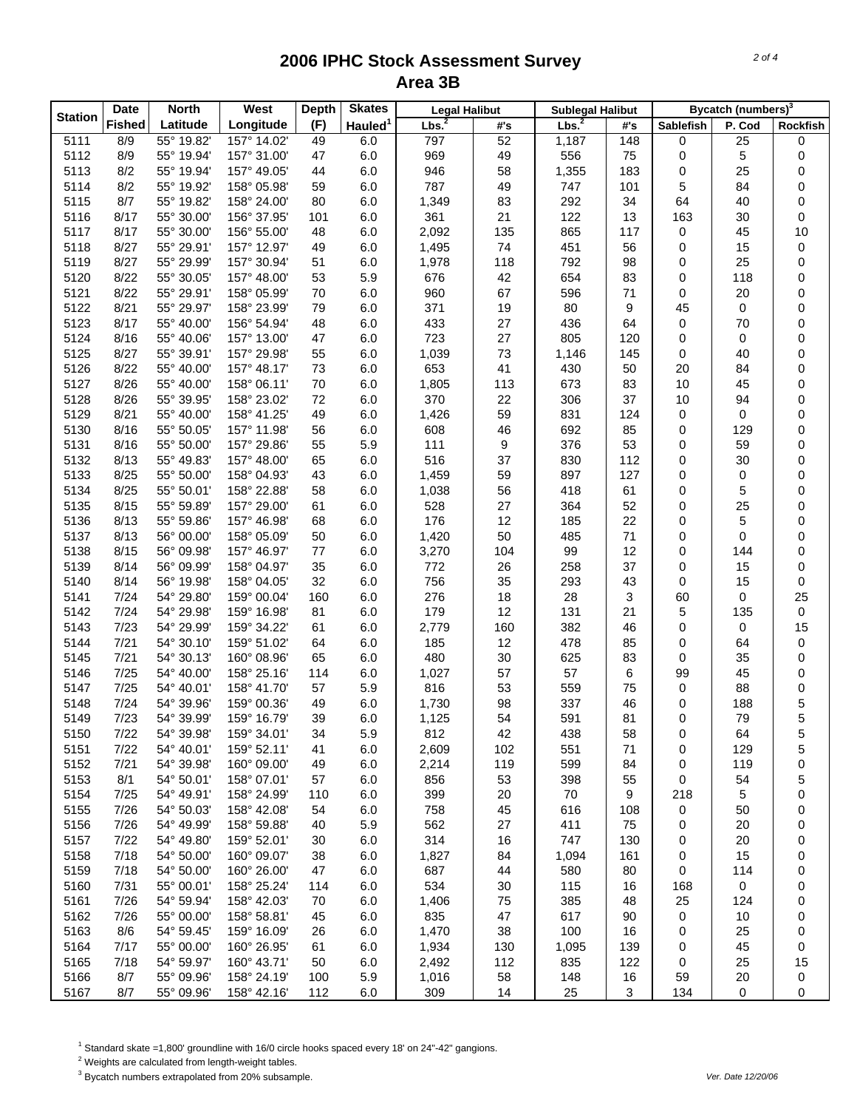| <b>Station</b> | <b>Date</b>   | <b>North</b>             | West                       | <b>Depth</b> | <b>Skates</b>       | <b>Legal Halibut</b> |            | <b>Sublegal Halibut</b> |              |                  | Bycatch (numbers) <sup>3</sup> |          |
|----------------|---------------|--------------------------|----------------------------|--------------|---------------------|----------------------|------------|-------------------------|--------------|------------------|--------------------------------|----------|
|                | <b>Fished</b> | Latitude                 | Longitude                  | (F)          | Hauled <sup>1</sup> | Lbs <sup>2</sup>     | #'s        | Lbs. <sup>2</sup>       | #'s          | <b>Sablefish</b> | P. Cod                         | Rockfish |
| 5111           | 8/9           | 55° 19.82'               | 157° 14.02'                | 49           | 6.0                 | 797                  | 52         | 1,187                   | 148          | 0                | $\overline{25}$                | 0        |
| 5112           | 8/9           | 55° 19.94'               | 157° 31.00'                | 47           | 6.0                 | 969                  | 49         | 556                     | 75           | 0                | 5                              | 0        |
| 5113           | 8/2           | 55° 19.94'               | 157° 49.05'                | 44           | 6.0                 | 946                  | 58         | 1,355                   | 183          | 0                | 25                             | 0        |
| 5114           | 8/2           | 55° 19.92'               | 158° 05.98'                | 59           | 6.0                 | 787                  | 49         | 747                     | 101          | 5                | 84                             | 0        |
| 5115           | 8/7           | 55° 19.82'               | 158° 24.00'                | 80           | 6.0                 | 1,349                | 83         | 292                     | 34           | 64               | 40                             | 0        |
| 5116           | 8/17          | 55° 30.00'               | 156° 37.95'                | 101          | 6.0                 | 361                  | 21         | 122                     | 13           | 163              | 30                             | 0        |
| 5117           | 8/17          | 55° 30.00'               | 156° 55.00'                | 48           | 6.0                 | 2,092                | 135        | 865                     | 117          | 0                | 45                             | 10       |
| 5118           | 8/27          | 55° 29.91'               | 157° 12.97'                | 49           | 6.0                 | 1,495                | 74         | 451                     | 56           | 0                | 15                             | 0        |
| 5119           | 8/27          | 55° 29.99'               | 157° 30.94'                | 51           | 6.0                 | 1,978                | 118        | 792                     | 98           | 0                | 25                             | 0        |
| 5120           | 8/22          | 55° 30.05'               | 157° 48.00'                | 53           | 5.9                 | 676                  | 42         | 654                     | 83           | 0                | 118                            | 0        |
| 5121           | 8/22          | 55° 29.91'               | 158° 05.99'                | 70           | 6.0                 | 960                  | 67         | 596                     | 71           | 0                | 20                             | 0        |
| 5122           | 8/21          | 55° 29.97'               | 158° 23.99'                | 79           | 6.0                 | 371                  | 19         | 80                      | 9            | 45               | 0                              | 0        |
| 5123           | 8/17          | 55° 40.00'               | 156° 54.94'                | 48           | 6.0                 | 433                  | 27         | 436                     | 64           | 0                | 70                             | 0        |
| 5124           | 8/16          | 55° 40.06'               | 157° 13.00'                | 47           | 6.0                 | 723                  | 27         | 805                     | 120          | 0                | 0                              | 0        |
| 5125           | 8/27          | 55° 39.91'               | 157° 29.98'                | 55           | 6.0                 | 1,039                | 73         | 1,146                   | 145          | 0                | 40                             | 0        |
| 5126           | 8/22          | 55° 40.00'               | 157° 48.17'                | 73           | 6.0                 | 653                  | 41         | 430                     | 50           | 20               | 84                             | 0        |
| 5127           | 8/26          | 55° 40.00'               | 158° 06.11'                | 70           | 6.0                 | 1,805                | 113        | 673                     | 83           | 10               | 45                             | 0        |
| 5128           | 8/26          | 55° 39.95'               | 158° 23.02'                | 72           | 6.0                 | 370                  | 22         | 306                     | 37           | 10               | 94                             | 0        |
| 5129           | 8/21          | 55° 40.00'               | 158° 41.25'                | 49           | 6.0                 | 1,426                | 59         | 831                     | 124          | 0                | 0                              | 0        |
| 5130           | 8/16          | 55° 50.05'               | 157° 11.98'                | 56           | 6.0                 | 608                  | 46         | 692                     | 85           | 0                | 129                            | 0        |
| 5131           | 8/16          | 55° 50.00'               | 157° 29.86'                | 55           | 5.9                 | 111                  | 9          | 376                     | 53           | 0                | 59                             | 0        |
| 5132           | 8/13          | 55° 49.83'               | 157° 48.00'                | 65           | 6.0                 | 516                  | 37         | 830                     | 112          | 0                | 30                             | 0        |
| 5133           | 8/25          | 55° 50.00'               | 158° 04.93'                | 43           |                     | 1,459                | 59         | 897                     | 127          | 0                | 0                              | 0        |
| 5134           | 8/25          | 55° 50.01'               | 158° 22.88'                | 58           | 6.0                 |                      | 56         | 418                     | 61           |                  | 5                              | 0        |
|                |               |                          | 157° 29.00'                |              | 6.0                 | 1,038                |            |                         |              | 0                |                                |          |
| 5135           | 8/15<br>8/13  | 55° 59.89'               |                            | 61<br>68     | 6.0                 | 528<br>176           | 27<br>12   | 364<br>185              | 52<br>22     | 0                | 25<br>5                        | 0        |
| 5136<br>5137   | 8/13          | 55° 59.86'<br>56° 00.00' | 157° 46.98'                |              | 6.0<br>6.0          | 1,420                | 50         | 485                     | 71           | 0                | 0                              | 0<br>0   |
| 5138           | 8/15          | 56° 09.98'               | 158° 05.09'<br>157° 46.97' | 50<br>77     |                     |                      | 104        | 99                      | 12           | 0                | 144                            | 0        |
|                |               |                          |                            |              | 6.0                 | 3,270                |            |                         |              | 0                |                                |          |
| 5139           | 8/14<br>8/14  | 56° 09.99'<br>56° 19.98' | 158° 04.97'<br>158° 04.05' | 35           | 6.0                 | 772                  | 26<br>35   | 258<br>293              | 37           | 0<br>0           | 15<br>15                       | 0<br>0   |
| 5140           | 7/24          | 54° 29.80'               | 159° 00.04'                | 32<br>160    | 6.0<br>6.0          | 756<br>276           | 18         | 28                      | 43<br>3      | 60               | 0                              | 25       |
| 5141<br>5142   | 7/24          | 54° 29.98'               | 159° 16.98'                | 81           | 6.0                 | 179                  | 12         | 131                     | 21           |                  | 135                            | 0        |
| 5143           | 7/23          | 54° 29.99'               | 159° 34.22'                | 61           | 6.0                 | 2,779                | 160        | 382                     | 46           | 5<br>0           | 0                              | 15       |
| 5144           | 7/21          | 54° 30.10'               | 159° 51.02'                | 64           | 6.0                 | 185                  | 12         | 478                     | 85           | 0                | 64                             | 0        |
| 5145           | 7/21          | 54° 30.13'               | 160° 08.96'                | 65           | 6.0                 | 480                  | 30         | 625                     | 83           | 0                | 35                             | 0        |
|                | 7/25          | 54° 40.00'               |                            | 114          |                     |                      | 57         | 57                      |              | 99               | 45                             |          |
| 5146<br>5147   | 7/25          | 54° 40.01'               | 158° 25.16'<br>158° 41.70' | 57           | 6.0                 | 1,027<br>816         | 53         | 559                     | 6<br>75      | 0                | 88                             | 0        |
|                | 7/24          | 54° 39.96'               | 159° 00.36'                |              | 5.9                 |                      | 98         | 337                     |              | 0                | 188                            | 0<br>5   |
| 5148<br>5149   | 7/23          | 54° 39.99'               |                            | 49<br>39     | 6.0                 | 1,730<br>1,125       | 54         | 591                     | 46<br>81     | 0                | 79                             | 5        |
| 5150           | 7/22          | 54° 39.98'               | 159° 16.79'<br>159° 34.01' | 34           | 6.0<br>5.9          | 812                  | 42         | 438                     |              |                  |                                |          |
| 5151           | 7/22          |                          |                            |              |                     |                      |            | 551                     | 58<br>71     | 0                | 64                             | 5        |
|                | 7/21          | 54° 40.01'               | 159° 52.11'                | 41           | 6.0                 | 2,609                | 102<br>119 | 599                     |              | 0                | 129                            | 5        |
| 5152           | 8/1           | 54° 39.98'<br>54° 50.01' | 160° 09.00'                | 49           | 6.0<br>6.0          | 2,214                | 53         | 398                     | 84           | 0<br>0           | 119                            | 0        |
| 5153           | 7/25          | 54° 49.91'               | 158° 07.01'                | 57           |                     | 856<br>399           |            | 70                      | 55           |                  | 54<br>5                        | 5        |
| 5154           | 7/26          | 54° 50.03'               | 158° 24.99'<br>158° 42.08' | 110          | 6.0                 |                      | 20         |                         | 9            | 218              |                                | 0        |
| 5155           |               |                          |                            | 54           | 6.0                 | 758                  | 45         | 616<br>411              | 108<br>75    | 0                | 50                             | 0        |
| 5156           | 7/26          | 54° 49.99'               | 158° 59.88'                | 40           | 5.9                 | 562                  | 27         |                         |              | 0                | 20                             | 0        |
| 5157           | 7/22          | 54° 49.80'               | 159° 52.01'                | 30           | 6.0                 | 314                  | 16         | 747                     | 130          | 0                | 20                             | 0        |
| 5158           | 7/18          | 54° 50.00'               | 160° 09.07'                | 38           | 6.0                 | 1,827                | 84         | 1,094                   | 161          | 0                | 15                             | 0        |
| 5159           | 7/18          | 54° 50.00'               | 160° 26.00'                | 47           | 6.0                 | 687                  | 44         | 580                     | 80           | 0                | 114                            | 0        |
| 5160           | 7/31          | 55° 00.01'               | 158° 25.24'                | 114          | 6.0                 | 534                  | 30         | 115                     | 16           | 168              | 0                              | 0        |
| 5161           | 7/26          | 54° 59.94'               | 158° 42.03'                | 70           | 6.0                 | 1,406                | 75         | 385                     | 48           | 25               | 124                            | 0        |
| 5162           | 7/26          | 55° 00.00'               | 158° 58.81'                | 45           | 6.0                 | 835                  | 47         | 617                     | 90           | 0                | 10                             | 0        |
| 5163           | 8/6           | 54° 59.45'               | 159° 16.09'                | 26           | 6.0                 | 1,470                | 38         | 100                     | 16           | 0                | 25                             | 0        |
| 5164           | 7/17          | 55° 00.00'               | 160° 26.95'                | 61           | 6.0                 | 1,934                | 130        | 1,095                   | 139          | 0                | 45                             | 0        |
| 5165           | 7/18          | 54° 59.97'               | 160° 43.71'                | 50           | 6.0                 | 2,492                | 112        | 835                     | 122          | 0                | 25                             | 15       |
| 5166           | 8/7           | 55° 09.96'               | 158° 24.19'                | 100          | 5.9                 | 1,016                | 58         | 148                     | 16           | 59               | 20                             | 0        |
| 5167           | 8/7           | 55° 09.96'               | 158° 42.16'                | 112          | 6.0                 | 309                  | 14         | 25                      | $\mathbf{3}$ | 134              | 0                              | 0        |

<sup>1</sup> Standard skate =1,800' groundline with 16/0 circle hooks spaced every 18' on 24"-42" gangions.

 $2$  Weights are calculated from length-weight tables.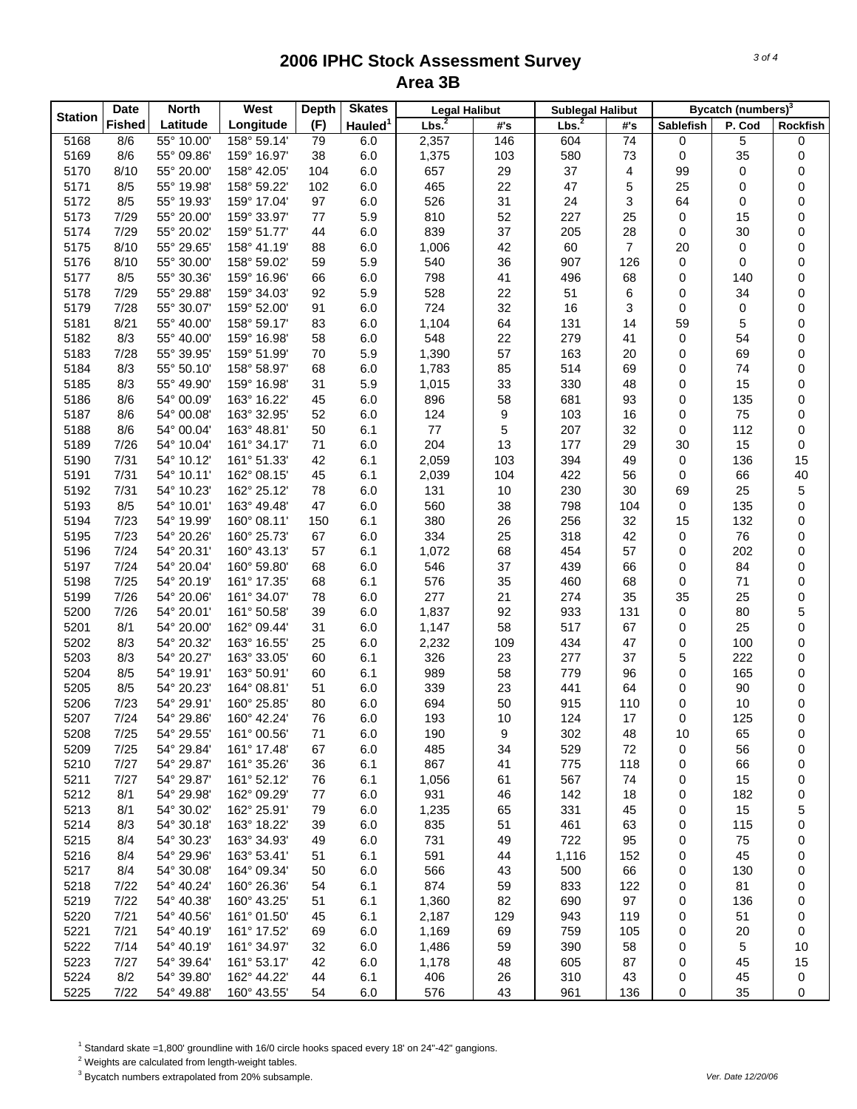| <b>Station</b> | <b>Date</b>   | <b>North</b> | <b>West</b>                | <b>Depth</b> | <b>Skates</b>       | <b>Legal Halibut</b> |     | <b>Sublegal Halibut</b> |                |           | Bycatch (numbers) <sup>3</sup> |          |
|----------------|---------------|--------------|----------------------------|--------------|---------------------|----------------------|-----|-------------------------|----------------|-----------|--------------------------------|----------|
|                | <b>Fished</b> | Latitude     | Longitude                  | (F)          | Hauled <sup>1</sup> | Lbs. <sup>2</sup>    | #'s | Lbs <sup>2</sup>        | #'s            | Sablefish | P. Cod                         | Rockfish |
| 5168           | 8/6           | 55° 10.00'   | 158° 59.14'                | 79           | 6.0                 | 2,357                | 146 | 604                     | 74             | 0         | 5                              | 0        |
| 5169           | 8/6           | 55° 09.86'   | 159° 16.97'                | 38           | 6.0                 | 1,375                | 103 | 580                     | 73             | 0         | 35                             | 0        |
| 5170           | 8/10          | 55° 20.00'   | 158° 42.05'                | 104          | 6.0                 | 657                  | 29  | 37                      | 4              | 99        | 0                              | 0        |
| 5171           | 8/5           | 55° 19.98'   | 158° 59.22'                | 102          | 6.0                 | 465                  | 22  | 47                      | 5              | 25        | 0                              | 0        |
| 5172           | 8/5           | 55° 19.93'   | 159° 17.04'                | 97           | 6.0                 | 526                  | 31  | 24                      | 3              | 64        | 0                              | 0        |
| 5173           | 7/29          | 55° 20.00'   | 159° 33.97'                | 77           | 5.9                 | 810                  | 52  | 227                     | 25             | 0         | 15                             | 0        |
| 5174           | 7/29          | 55° 20.02'   | 159° 51.77'                | 44           | 6.0                 | 839                  | 37  | 205                     | 28             | 0         | 30                             | 0        |
| 5175           | 8/10          | 55° 29.65'   | 158° 41.19'                | 88           | 6.0                 | 1,006                | 42  | 60                      | $\overline{7}$ | 20        | 0                              | 0        |
| 5176           | 8/10          | 55° 30.00'   | 158° 59.02'                | 59           | 5.9                 | 540                  | 36  | 907                     | 126            | 0         | 0                              | 0        |
| 5177           | 8/5           | 55° 30.36'   | 159° 16.96'                | 66           | 6.0                 | 798                  | 41  | 496                     | 68             | 0         | 140                            | 0        |
| 5178           | 7/29          | 55° 29.88'   | 159° 34.03'                | 92           | 5.9                 | 528                  | 22  | 51                      | 6              | 0         | 34                             | 0        |
| 5179           | 7/28          | 55° 30.07'   | 159° 52.00'                | 91           | 6.0                 | 724                  | 32  | 16                      | 3              | 0         | 0                              | 0        |
| 5181           | 8/21          | 55° 40.00'   | 158° 59.17'                | 83           | 6.0                 | 1,104                | 64  | 131                     | 14             | 59        | 5                              | 0        |
| 5182           | 8/3           | 55° 40.00'   | 159° 16.98'                | 58           | 6.0                 | 548                  | 22  | 279                     | 41             | 0         | 54                             | 0        |
| 5183           | 7/28          | 55° 39.95'   | 159° 51.99'                | 70           | 5.9                 | 1,390                | 57  | 163                     | 20             | 0         | 69                             | 0        |
| 5184           | 8/3           | 55° 50.10'   | 158° 58.97'                | 68           | 6.0                 | 1,783                | 85  | 514                     | 69             | 0         | 74                             | 0        |
| 5185           | 8/3           | 55° 49.90'   | 159° 16.98'                | 31           | 5.9                 | 1,015                | 33  | 330                     | 48             | 0         | 15                             | 0        |
| 5186           | 8/6           | 54° 00.09'   | 163° 16.22'                | 45           | 6.0                 | 896                  | 58  | 681                     | 93             | 0         | 135                            | 0        |
| 5187           | 8/6           | 54° 00.08'   | 163° 32.95'                | 52           | 6.0                 | 124                  | 9   | 103                     | 16             | 0         | 75                             | 0        |
| 5188           | 8/6           | 54° 00.04'   | 163° 48.81'                | 50           | 6.1                 | $77 \,$              | 5   | 207                     | 32             | 0         | 112                            | 0        |
| 5189           | 7/26          | 54° 10.04'   | 161° 34.17'                | 71           | 6.0                 | 204                  | 13  | 177                     | 29             | 30        | 15                             | 0        |
| 5190           | 7/31          | 54° 10.12'   | 161° 51.33'                | 42           | 6.1                 | 2,059                | 103 | 394                     | 49             | 0         | 136                            | 15       |
| 5191           | 7/31          | 54° 10.11'   | 162° 08.15'                | 45           | 6.1                 | 2,039                | 104 | 422                     | 56             | 0         | 66                             | 40       |
| 5192           | 7/31          | 54° 10.23'   | 162° 25.12'                | 78           | 6.0                 | 131                  | 10  | 230                     | 30             | 69        | 25                             | 5        |
| 5193           | 8/5           | 54° 10.01'   | 163° 49.48'                | 47           | 6.0                 | 560                  | 38  | 798                     | 104            | 0         | 135                            | 0        |
| 5194           | 7/23          | 54° 19.99'   | 160° 08.11'                | 150          | 6.1                 | 380                  | 26  | 256                     | 32             | 15        | 132                            | 0        |
| 5195           | 7/23          | 54° 20.26'   | 160° 25.73'                | 67           | 6.0                 | 334                  | 25  | 318                     | 42             | 0         | 76                             | 0        |
| 5196           | 7/24          | 54° 20.31'   | 160° 43.13'                | 57           | 6.1                 | 1,072                | 68  | 454                     | 57             | 0         | 202                            | 0        |
| 5197           | 7/24          | 54° 20.04'   | 160° 59.80'                | 68           | 6.0                 | 546                  | 37  | 439                     | 66             | 0         | 84                             | 0        |
| 5198           | 7/25          | 54° 20.19'   | 161° 17.35'                | 68           | 6.1                 | 576                  | 35  | 460                     | 68             | 0         | 71                             | 0        |
| 5199           | 7/26          | 54° 20.06'   | 161° 34.07'                | 78           | 6.0                 | 277                  | 21  | 274                     | 35             | 35        | 25                             | 0        |
| 5200           | 7/26          | 54° 20.01'   | 161° 50.58'                | 39           | 6.0                 | 1,837                | 92  | 933                     | 131            | 0         | 80                             | 5        |
| 5201           | 8/1           | 54° 20.00'   | 162° 09.44'                | 31           | 6.0                 | 1,147                | 58  | 517                     | 67             | 0         | 25                             | 0        |
| 5202           | 8/3           | 54° 20.32'   | 163° 16.55'                | 25           | 6.0                 | 2,232                | 109 | 434                     | 47             | 0         | 100                            | 0        |
| 5203           | 8/3           | 54° 20.27'   | 163° 33.05'                |              |                     | 326                  | 23  | 277                     | 37             | 5         | 222                            |          |
|                | 8/5           | 54° 19.91'   |                            | 60<br>60     | 6.1                 | 989                  | 58  | 779                     | 96             | 0         |                                | 0        |
| 5204           | 8/5           | 54° 20.23'   | 163° 50.91'                | 51           | 6.1                 |                      | 23  | 441                     | 64             |           | 165                            | 0        |
| 5205<br>5206   | 7/23          | 54° 29.91'   | 164° 08.81'                | 80           | 6.0                 | 339<br>694           | 50  | 915                     | 110            | 0<br>0    | 90                             | 0        |
| 5207           | 7/24          | 54° 29.86'   | 160° 25.85'<br>160° 42.24' | 76           | 6.0                 | 193                  | 10  | 124                     | 17             | 0         | 10<br>125                      | 0<br>0   |
| 5208           |               | 54° 29.55'   |                            |              | 6.0                 |                      |     |                         |                |           |                                |          |
|                | 7/25          |              | 161° 00.56'                | 71           | 6.0                 | 190                  | 9   | 302<br>529              | 48             | 10<br>0   | 65                             | 0        |
| 5209           | 7/25<br>7/27  | 54° 29.84'   | 161° 17.48'                | 67           | 6.0                 | 485<br>867           | 34  | 775                     | 72             |           | 56                             | 0        |
| 5210           |               | 54° 29.87'   | 161° 35.26'                | 36           | 6.1                 |                      | 41  |                         | 118            | 0         | 66                             | 0        |
| 5211           | 7/27          | 54° 29.87'   | 161° 52.12'                | 76           | 6.1                 | 1,056                | 61  | 567                     | 74             | 0         | 15                             | 0        |
| 5212           | 8/1           | 54° 29.98'   | 162° 09.29'                | 77           | 6.0                 | 931                  | 46  | 142                     | 18             | 0         | 182                            | 0        |
| 5213           | 8/1           | 54° 30.02'   | 162° 25.91'                | 79           | 6.0                 | 1,235                | 65  | 331                     | 45             | 0         | 15                             | 5        |
| 5214           | 8/3           | 54° 30.18'   | 163° 18.22'                | 39           | 6.0                 | 835                  | 51  | 461                     | 63             | 0         | 115                            | 0        |
| 5215           | 8/4           | 54° 30.23'   | 163° 34.93'                | 49           | 6.0                 | 731                  | 49  | 722                     | 95             | 0         | 75                             | 0        |
| 5216           | 8/4           | 54° 29.96'   | 163° 53.41'                | 51           | 6.1                 | 591                  | 44  | 1,116                   | 152            | 0         | 45                             | 0        |
| 5217           | 8/4           | 54° 30.08'   | 164° 09.34'                | 50           | 6.0                 | 566                  | 43  | 500                     | 66             | 0         | 130                            | 0        |
| 5218           | 7/22          | 54° 40.24'   | 160° 26.36'                | 54           | 6.1                 | 874                  | 59  | 833                     | 122            | 0         | 81                             | 0        |
| 5219           | 7/22          | 54° 40.38'   | 160° 43.25'                | 51           | 6.1                 | 1,360                | 82  | 690                     | 97             | 0         | 136                            | 0        |
| 5220           | 7/21          | 54° 40.56'   | 161° 01.50'                | 45           | 6.1                 | 2,187                | 129 | 943                     | 119            | 0         | 51                             | 0        |
| 5221           | 7/21          | 54° 40.19'   | 161° 17.52'                | 69           | 6.0                 | 1,169                | 69  | 759                     | 105            | 0         | 20                             | 0        |
| 5222           | 7/14          | 54° 40.19'   | 161° 34.97'                | 32           | 6.0                 | 1,486                | 59  | 390                     | 58             | 0         | 5                              | 10       |
| 5223           | 7/27          | 54° 39.64'   | 161° 53.17'                | 42           | 6.0                 | 1,178                | 48  | 605                     | 87             | 0         | 45                             | 15       |
| 5224           | 8/2           | 54° 39.80'   | 162° 44.22'                | 44           | 6.1                 | 406                  | 26  | 310                     | 43             | 0         | 45                             | 0        |
| 5225           | 7/22          | 54° 49.88'   | 160° 43.55'                | 54           | 6.0                 | 576                  | 43  | 961                     | 136            | 0         | 35                             | 0        |

<sup>1</sup> Standard skate =1,800' groundline with 16/0 circle hooks spaced every 18' on 24"-42" gangions.

 $2$  Weights are calculated from length-weight tables.